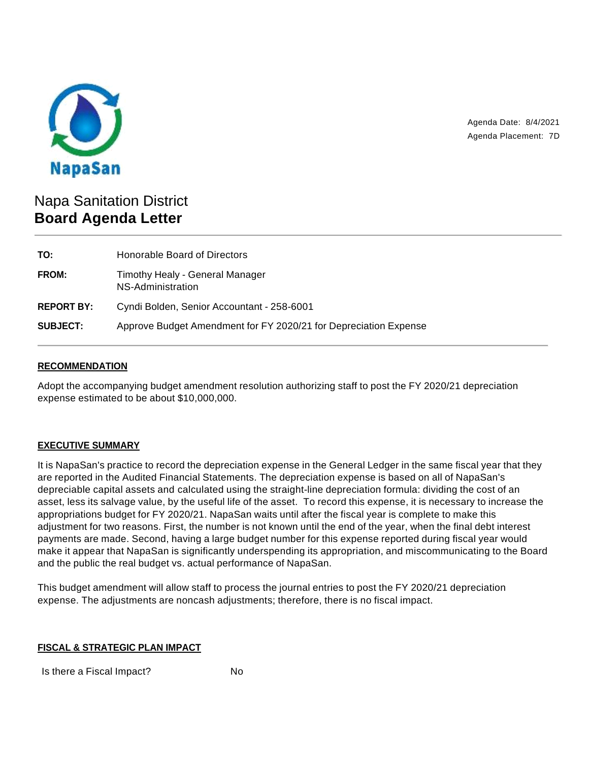

Agenda Date: 8/4/2021 Agenda Placement: 7D

# Napa Sanitation District **Board Agenda Letter**

| TO:               | Honorable Board of Directors                                     |
|-------------------|------------------------------------------------------------------|
| <b>FROM:</b>      | Timothy Healy - General Manager<br>NS-Administration             |
| <b>REPORT BY:</b> | Cyndi Bolden, Senior Accountant - 258-6001                       |
| <b>SUBJECT:</b>   | Approve Budget Amendment for FY 2020/21 for Depreciation Expense |

## **RECOMMENDATION**

Adopt the accompanying budget amendment resolution authorizing staff to post the FY 2020/21 depreciation expense estimated to be about \$10,000,000.

#### **EXECUTIVE SUMMARY**

It is NapaSan's practice to record the depreciation expense in the General Ledger in the same fiscal year that they are reported in the Audited Financial Statements. The depreciation expense is based on all of NapaSan's depreciable capital assets and calculated using the straight-line depreciation formula: dividing the cost of an asset, less its salvage value, by the useful life of the asset. To record this expense, it is necessary to increase the appropriations budget for FY 2020/21. NapaSan waits until after the fiscal year is complete to make this adjustment for two reasons. First, the number is not known until the end of the year, when the final debt interest payments are made. Second, having a large budget number for this expense reported during fiscal year would make it appear that NapaSan is significantly underspending its appropriation, and miscommunicating to the Board and the public the real budget vs. actual performance of NapaSan.

This budget amendment will allow staff to process the journal entries to post the FY 2020/21 depreciation expense. The adjustments are noncash adjustments; therefore, there is no fiscal impact.

#### **FISCAL & STRATEGIC PLAN IMPACT**

Is there a Fiscal Impact? No